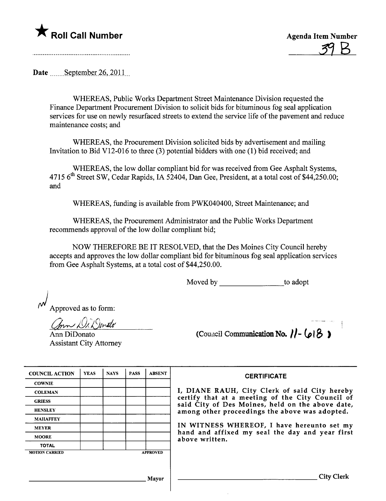

<u>39 B</u>

Date  $\frac{\text{September }26,2011}{\text{...}}$ 

WHEREAS, Public Works Deparment Street Maintenance Division requested the Finance Deparment Procurement Division to solicit bids for bituminous fog seal application services for use on newly resurfaced streets to extend the service life of the pavement and reduce maintenance costs; and

WHEREAS, the Procurement Division solicited bids by advertisement and mailng Invitation to Bid V12-016 to three (3) potential bidders with one (1) bid received; and

WHEREAS, the low dollar compliant bid for was received from Gee Asphalt Systems, 4715 6<sup>th</sup> Street SW, Cedar Rapids, IA 52404, Dan Gee, President, at a total cost of \$44,250.00; and

WHEREAS, funding is available from PWK040400, Street Maintenance; and

WHEREAS, the Procurement Administrator and the Public Works Deparment recommends approval of the low dollar compliant bid;

NOW THEREFORE BE IT RESOLVED, that the Des Moines City Council hereby accepts and approves the low dollar compliant bid for bituminous fog seal application services from Gee Asphalt Systems, at a total cost of \$44,250.00.

Moved by \_\_\_\_\_\_\_\_\_\_\_\_\_\_\_\_\_\_\_\_\_to adopt

Approved as to form:

mn DiX Ienato

Ann DiDonato Assistant City Attorney

(Council Communication No.  $|| - (0.8)$ 

| <b>COUNCIL ACTION</b> | <b>YEAS</b> | <b>NAYS</b> | <b>PASS</b> | <b>ABSENT</b>   |
|-----------------------|-------------|-------------|-------------|-----------------|
| <b>COWNIE</b>         |             |             |             |                 |
| <b>COLEMAN</b>        |             |             |             |                 |
| <b>GRIESS</b>         |             |             |             |                 |
| <b>HENSLEY</b>        |             |             |             |                 |
| <b>MAHAFFEY</b>       |             |             |             |                 |
| <b>MEYER</b>          |             |             |             |                 |
| <b>MOORE</b>          |             |             |             |                 |
| <b>TOTAL</b>          |             |             |             |                 |
| <b>MOTION CARRIED</b> |             |             |             | <b>APPROVED</b> |
|                       |             |             |             |                 |

**CERTIFICATE** 

I, DIANE RAUH, City Clerk of said City hereby certify that at a meeting of the City Council of said City of Des Moines, held on the above date, among other proceedings the above was adopted.

IN WITNESS WHEREOF, I have hereunto set my hand and affixed my seal the day and year first above written.